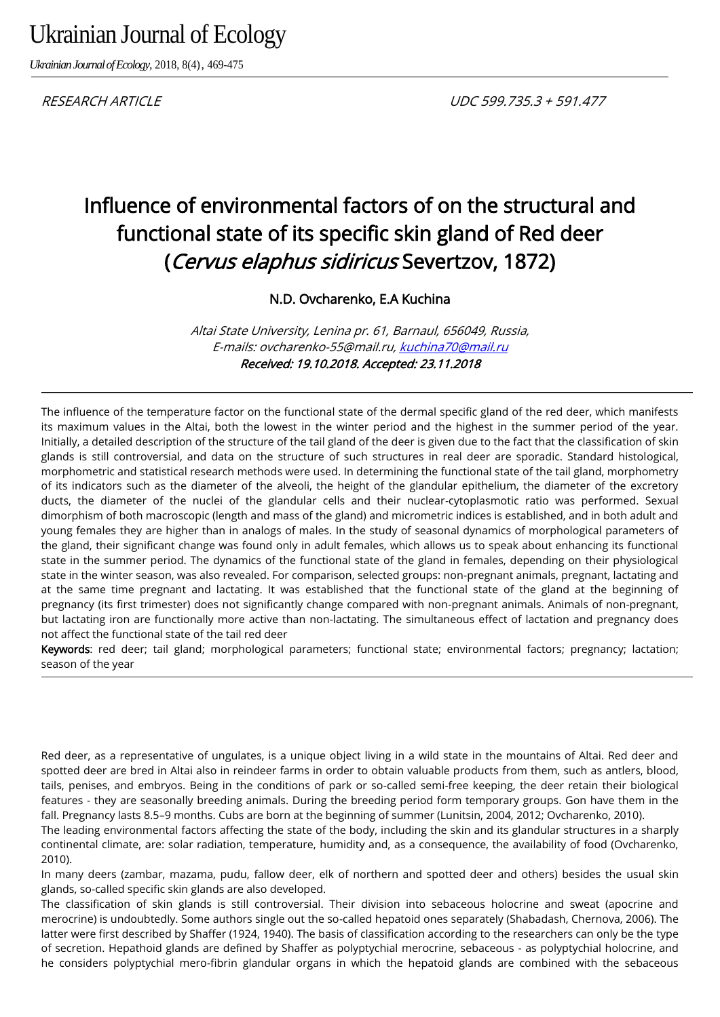# Ukrainian Journal of Ecology

*Ukrainian Journal of Ecology,* 2018, 8(4), 469-475

# Influence of environmental factors of on the structural and functional state of its specific skin gland of Red deer (Cervus elaphus sidiricus Severtzov, 1872)

N.D. Ovcharenko, E.A Kuchina

Altai State University, Lenina pr. 61, Barnaul, 656049, Russia, E-mails: ovcharenko-55@mail.ru, [kuchina70@mail.ru](mailto:kuchina70@mail.ru) Received: 19.10.2018. Accepted: 23.11.2018

The influence of the temperature factor on the functional state of the dermal specific gland of the red deer, which manifests its maximum values in the Altai, both the lowest in the winter period and the highest in the summer period of the year. Initially, a detailed description of the structure of the tail gland of the deer is given due to the fact that the classification of skin glands is still controversial, and data on the structure of such structures in real deer are sporadic. Standard histological, morphometric and statistical research methods were used. In determining the functional state of the tail gland, morphometry of its indicators such as the diameter of the alveoli, the height of the glandular epithelium, the diameter of the excretory ducts, the diameter of the nuclei of the glandular cells and their nuclear-cytoplasmotic ratio was performed. Sexual dimorphism of both macroscopic (length and mass of the gland) and micrometric indices is established, and in both adult and young females they are higher than in analogs of males. In the study of seasonal dynamics of morphological parameters of the gland, their significant change was found only in adult females, which allows us to speak about enhancing its functional state in the summer period. The dynamics of the functional state of the gland in females, depending on their physiological state in the winter season, was also revealed. For comparison, selected groups: non-pregnant animals, pregnant, lactating and at the same time pregnant and lactating. It was established that the functional state of the gland at the beginning of pregnancy (its first trimester) does not significantly change compared with non-pregnant animals. Animals of non-pregnant, but lactating iron are functionally more active than non-lactating. The simultaneous effect of lactation and pregnancy does not affect the functional state of the tail red deer

Keywords: red deer; tail gland; morphological parameters; functional state; environmental factors; pregnancy; lactation; season of the year

Red deer, as a representative of ungulates, is a unique object living in a wild state in the mountains of Altai. Red deer and spotted deer are bred in Altai also in reindeer farms in order to obtain valuable products from them, such as antlers, blood, tails, penises, and embryos. Being in the conditions of park or so-called semi-free keeping, the deer retain their biological features - they are seasonally breeding animals. During the breeding period form temporary groups. Gon have them in the fall. Pregnancy lasts 8.5–9 months. Cubs are born at the beginning of summer (Lunitsin, 2004, 2012; Ovcharenko, 2010).

The leading environmental factors affecting the state of the body, including the skin and its glandular structures in a sharply continental climate, are: solar radiation, temperature, humidity and, as a consequence, the availability of food (Ovcharenko, 2010).

In many deers (zambar, mazama, pudu, fallow deer, elk of northern and spotted deer and others) besides the usual skin glands, so-called specific skin glands are also developed.

The classification of skin glands is still controversial. Their division into sebaceous holocrine and sweat (apocrine and merocrine) is undoubtedly. Some authors single out the so-called hepatoid ones separately (Shabadash, Chernova, 2006). The latter were first described by Shaffer (1924, 1940). The basis of classification according to the researchers can only be the type of secretion. Hepathoid glands are defined by Shaffer as polyptychial merocrine, sebaceous - as polyptychial holocrine, and he considers polyptychial mero-fibrin glandular organs in which the hepatoid glands are combined with the sebaceous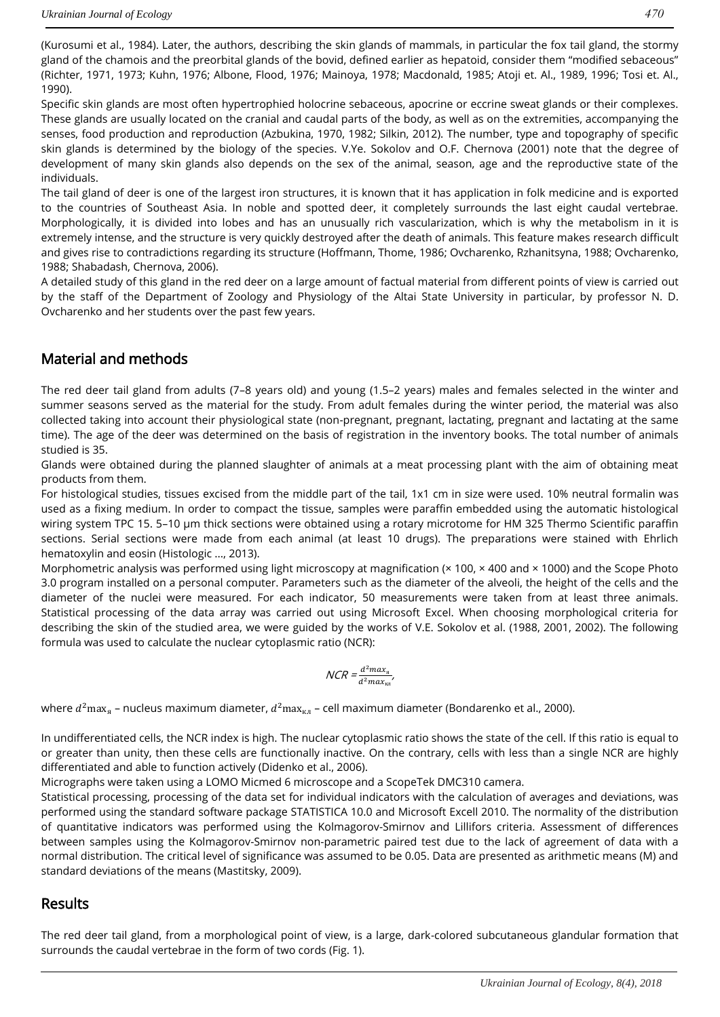(Kurosumi et al., 1984). Later, the authors, describing the skin glands of mammals, in particular the fox tail gland, the stormy gland of the chamois and the preorbital glands of the bovid, defined earlier as hepatoid, consider them "modified sebaceous" (Richter, 1971, 1973; Kuhn, 1976; Albone, Flood, 1976; Mainoya, 1978; Macdonald, 1985; Atoji et. Al., 1989, 1996; Tosi et. Al., 1990).

Specific skin glands are most often hypertrophied holocrine sebaceous, apocrine or eccrine sweat glands or their complexes. These glands are usually located on the cranial and caudal parts of the body, as well as on the extremities, accompanying the senses, food production and reproduction (Azbukina, 1970, 1982; Silkin, 2012). The number, type and topography of specific skin glands is determined by the biology of the species. V.Ye. Sokolov and O.F. Chernova (2001) note that the degree of development of many skin glands also depends on the sex of the animal, season, age and the reproductive state of the individuals.

The tail gland of deer is one of the largest iron structures, it is known that it has application in folk medicine and is exported to the countries of Southeast Asia. In noble and spotted deer, it completely surrounds the last eight caudal vertebrae. Morphologically, it is divided into lobes and has an unusually rich vascularization, which is why the metabolism in it is extremely intense, and the structure is very quickly destroyed after the death of animals. This feature makes research difficult and gives rise to contradictions regarding its structure (Hoffmann, Thome, 1986; Ovcharenko, Rzhanitsyna, 1988; Ovcharenko, 1988; Shabadash, Chernova, 2006).

A detailed study of this gland in the red deer on a large amount of factual material from different points of view is carried out by the staff of the Department of Zoology and Physiology of the Altai State University in particular, by professor N. D. Ovcharenko and her students over the past few years.

## Material and methods

The red deer tail gland from adults (7–8 years old) and young (1.5–2 years) males and females selected in the winter and summer seasons served as the material for the study. From adult females during the winter period, the material was also collected taking into account their physiological state (non-pregnant, pregnant, lactating, pregnant and lactating at the same time). The age of the deer was determined on the basis of registration in the inventory books. The total number of animals studied is 35.

Glands were obtained during the planned slaughter of animals at a meat processing plant with the aim of obtaining meat products from them.

For histological studies, tissues excised from the middle part of the tail, 1x1 cm in size were used. 10% neutral formalin was used as a fixing medium. In order to compact the tissue, samples were paraffin embedded using the automatic histological wiring system TPC 15. 5–10 µm thick sections were obtained using a rotary microtome for HM 325 Thermo Scientific paraffin sections. Serial sections were made from each animal (at least 10 drugs). The preparations were stained with Ehrlich hematoxylin and eosin (Histologic ..., 2013).

Morphometric analysis was performed using light microscopy at magnification (× 100, × 400 and × 1000) and the Scope Photo 3.0 program installed on a personal computer. Parameters such as the diameter of the alveoli, the height of the cells and the diameter of the nuclei were measured. For each indicator, 50 measurements were taken from at least three animals. Statistical processing of the data array was carried out using Microsoft Excel. When choosing morphological criteria for describing the skin of the studied area, we were guided by the works of V.E. Sokolov et al. (1988, 2001, 2002). The following formula was used to calculate the nuclear cytoplasmic ratio (NCR):

$$
NCR = \frac{d^2 max_{\rm s}}{d^2 max_{\rm KJ}}
$$

where  $d^2$ max $_{\rm s}$  – nucleus maximum diameter,  $d^2$ max $_{\rm \kappa\pi}$  – cell maximum diameter (Bondarenko et al., 2000).

In undifferentiated cells, the NCR index is high. The nuclear cytoplasmic ratio shows the state of the cell. If this ratio is equal to or greater than unity, then these cells are functionally inactive. On the contrary, cells with less than a single NCR are highly differentiated and able to function actively (Didenko et al., 2006).

Micrographs were taken using a LOMO Micmed 6 microscope and a ScopeTek DMC310 camera.

Statistical processing, processing of the data set for individual indicators with the calculation of averages and deviations, was performed using the standard software package STATISTICA 10.0 and Microsoft Excell 2010. The normality of the distribution of quantitative indicators was performed using the Kolmagorov-Smirnov and Lillifors criteria. Assessment of differences between samples using the Kolmagorov-Smirnov non-parametric paired test due to the lack of agreement of data with a normal distribution. The critical level of significance was assumed to be 0.05. Data are presented as arithmetic means (M) and standard deviations of the means (Mastitsky, 2009).

### Results

The red deer tail gland, from a morphological point of view, is a large, dark-colored subcutaneous glandular formation that surrounds the caudal vertebrae in the form of two cords (Fig. 1).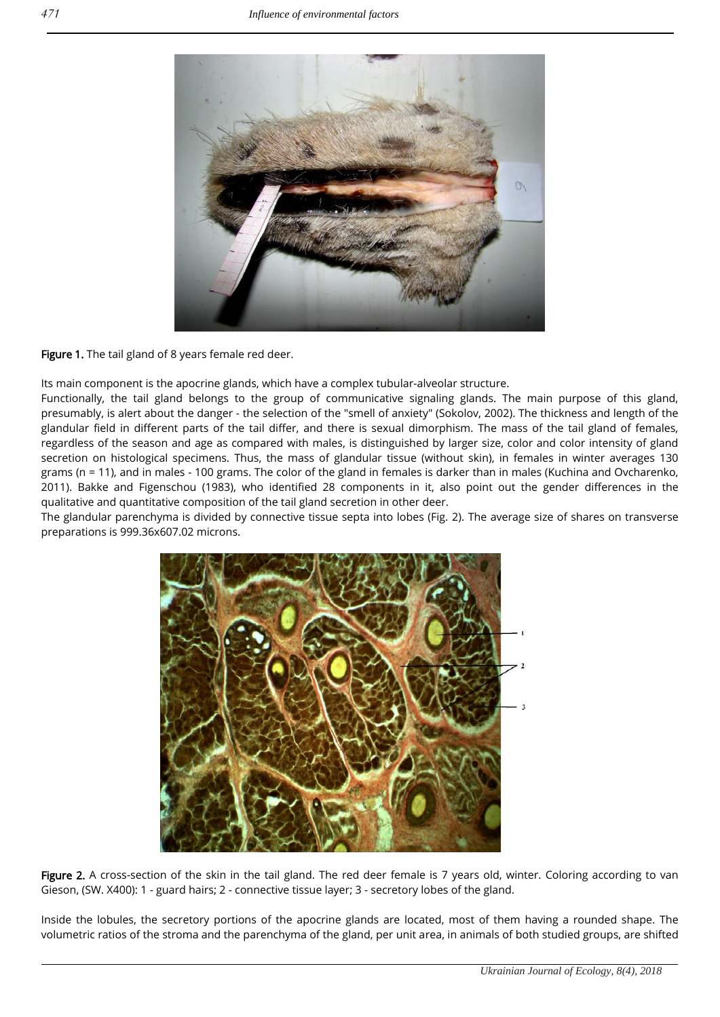

#### Figure 1. The tail gland of 8 years female red deer.

Its main component is the apocrine glands, which have a complex tubular-alveolar structure.

Functionally, the tail gland belongs to the group of communicative signaling glands. The main purpose of this gland, presumably, is alert about the danger - the selection of the "smell of anxiety" (Sokolov, 2002). The thickness and length of the glandular field in different parts of the tail differ, and there is sexual dimorphism. The mass of the tail gland of females, regardless of the season and age as compared with males, is distinguished by larger size, color and color intensity of gland secretion on histological specimens. Thus, the mass of glandular tissue (without skin), in females in winter averages 130 grams (n = 11), and in males - 100 grams. The color of the gland in females is darker than in males (Kuchina and Ovcharenko, 2011). Bakke and Figenschou (1983), who identified 28 components in it, also point out the gender differences in the qualitative and quantitative composition of the tail gland secretion in other deer.

The glandular parenchyma is divided by connective tissue septa into lobes (Fig. 2). The average size of shares on transverse preparations is 999.36x607.02 microns.



Figure 2. A cross-section of the skin in the tail gland. The red deer female is 7 years old, winter. Coloring according to van Gieson, (SW. X400): 1 - guard hairs; 2 - connective tissue layer; 3 - secretory lobes of the gland.

Inside the lobules, the secretory portions of the apocrine glands are located, most of them having a rounded shape. The volumetric ratios of the stroma and the parenchyma of the gland, per unit area, in animals of both studied groups, are shifted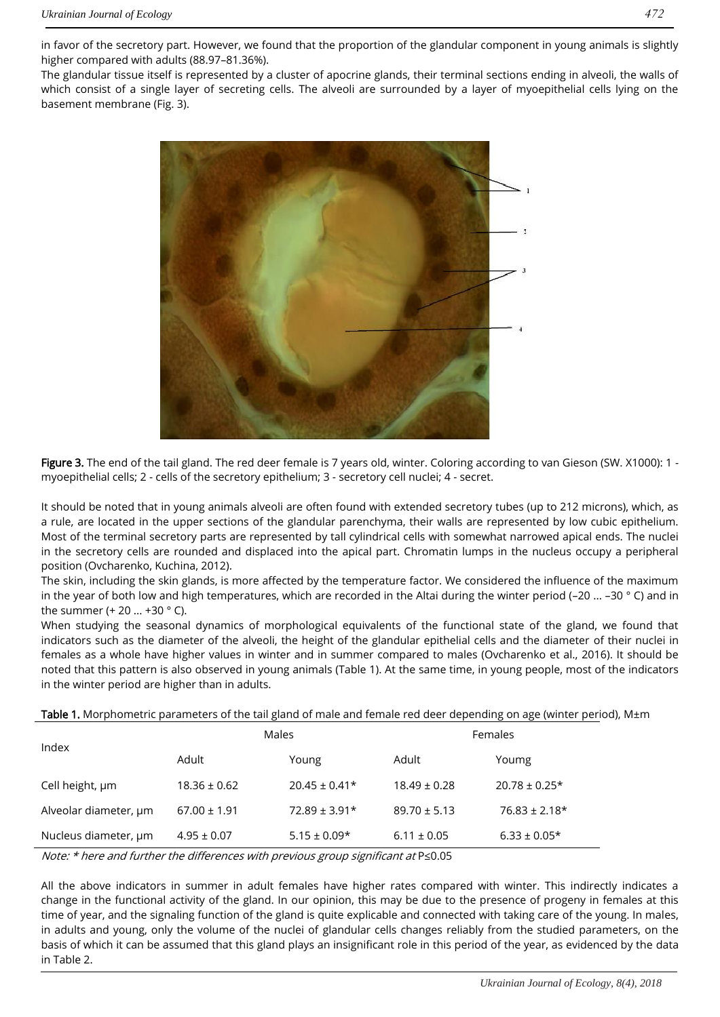in favor of the secretory part. However, we found that the proportion of the glandular component in young animals is slightly higher compared with adults (88.97–81.36%).

The glandular tissue itself is represented by a cluster of apocrine glands, their terminal sections ending in alveoli, the walls of which consist of a single layer of secreting cells. The alveoli are surrounded by a layer of myoepithelial cells lying on the basement membrane (Fig. 3).



Figure 3. The end of the tail gland. The red deer female is 7 years old, winter. Coloring according to van Gieson (SW. X1000): 1 myoepithelial cells; 2 - cells of the secretory epithelium; 3 - secretory cell nuclei; 4 - secret.

It should be noted that in young animals alveoli are often found with extended secretory tubes (up to 212 microns), which, as a rule, are located in the upper sections of the glandular parenchyma, their walls are represented by low cubic epithelium. Most of the terminal secretory parts are represented by tall cylindrical cells with somewhat narrowed apical ends. The nuclei in the secretory cells are rounded and displaced into the apical part. Chromatin lumps in the nucleus occupy a peripheral position (Ovcharenko, Kuchina, 2012).

The skin, including the skin glands, is more affected by the temperature factor. We considered the influence of the maximum in the year of both low and high temperatures, which are recorded in the Altai during the winter period (–20 ... –30 ° C) and in the summer (+ 20 ... +30 ° C).

When studying the seasonal dynamics of morphological equivalents of the functional state of the gland, we found that indicators such as the diameter of the alveoli, the height of the glandular epithelial cells and the diameter of their nuclei in females as a whole have higher values in winter and in summer compared to males (Ovcharenko et al., 2016). It should be noted that this pattern is also observed in young animals (Table 1). At the same time, in young people, most of the indicators in the winter period are higher than in adults.

Table 1. Morphometric parameters of the tail gland of male and female red deer depending on age (winter period), M±m

| Index                 | Males            |                   | Females          |                   |
|-----------------------|------------------|-------------------|------------------|-------------------|
|                       | Adult            | Young             | Adult            | Youmg             |
| Cell height, um       | $18.36 \pm 0.62$ | $20.45 \pm 0.41*$ | $18.49 \pm 0.28$ | $20.78 \pm 0.25*$ |
| Alveolar diameter, um | $67.00 \pm 1.91$ | $72.89 \pm 3.91*$ | $89.70 \pm 5.13$ | $76.83 \pm 2.18*$ |
| Nucleus diameter, um  | $4.95 \pm 0.07$  | $5.15 \pm 0.09*$  | $6.11 \pm 0.05$  | $6.33 \pm 0.05*$  |

Note: \* here and further the differences with previous group significant at P≤0.05

All the above indicators in summer in adult females have higher rates compared with winter. This indirectly indicates a change in the functional activity of the gland. In our opinion, this may be due to the presence of progeny in females at this time of year, and the signaling function of the gland is quite explicable and connected with taking care of the young. In males, in adults and young, only the volume of the nuclei of glandular cells changes reliably from the studied parameters, on the basis of which it can be assumed that this gland plays an insignificant role in this period of the year, as evidenced by the data in Table 2.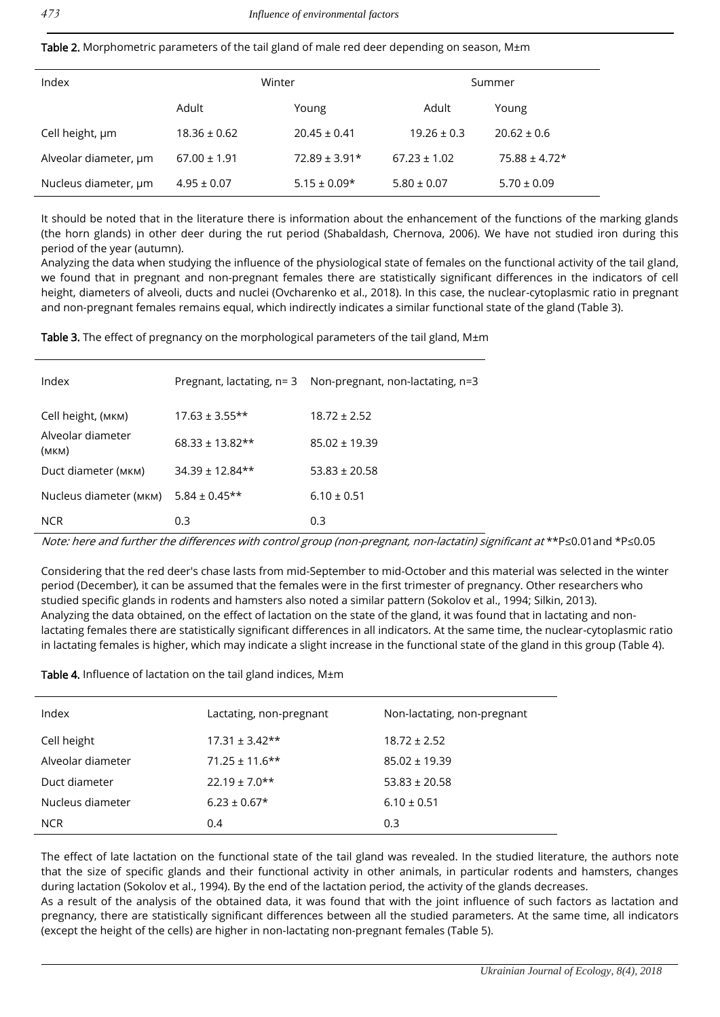| Table 2. Morphometric parameters of the tail gland of male red deer depending on season, M±m |  |  |
|----------------------------------------------------------------------------------------------|--|--|
|----------------------------------------------------------------------------------------------|--|--|

| Index                 | Winter           |                   | Summer           |                   |
|-----------------------|------------------|-------------------|------------------|-------------------|
|                       | Adult            | Young             | Adult            | Young             |
| Cell height, um       | $18.36 \pm 0.62$ | $20.45 \pm 0.41$  | $19.26 \pm 0.3$  | $20.62 \pm 0.6$   |
| Alveolar diameter, um | $67.00 \pm 1.91$ | $72.89 \pm 3.91*$ | $67.23 \pm 1.02$ | $75.88 \pm 4.72*$ |
| Nucleus diameter, um  | $4.95 \pm 0.07$  | $5.15 \pm 0.09*$  | $5.80 \pm 0.07$  | $5.70 \pm 0.09$   |

It should be noted that in the literature there is information about the enhancement of the functions of the marking glands (the horn glands) in other deer during the rut period (Shabaldash, Chernova, 2006). We have not studied iron during this period of the year (autumn).

Analyzing the data when studying the influence of the physiological state of females on the functional activity of the tail gland, we found that in pregnant and non-pregnant females there are statistically significant differences in the indicators of cell height, diameters of alveoli, ducts and nuclei (Ovcharenko et al., 2018). In this case, the nuclear-cytoplasmic ratio in pregnant and non-pregnant females remains equal, which indirectly indicates a similar functional state of the gland (Table 3).

Table 3. The effect of pregnancy on the morphological parameters of the tail gland,  $M \pm m$ 

| Index                      |                     | Pregnant, lactating, $n=3$ Non-pregnant, non-lactating, $n=3$ |
|----------------------------|---------------------|---------------------------------------------------------------|
| Cell height, (мкм)         | $17.63 \pm 3.55**$  | $18.72 \pm 2.52$                                              |
| Alveolar diameter<br>(MKM) | $68.33 \pm 13.82**$ | $85.02 \pm 19.39$                                             |
| Duct diameter (мкм)        | $34.39 \pm 12.84**$ | $53.83 + 20.58$                                               |
| Nucleus diameter (мкм)     | $5.84 \pm 0.45**$   | $6.10 \pm 0.51$                                               |
| <b>NCR</b>                 | 0.3                 | 0.3                                                           |

Note: here and further the differences with control group (non-pregnant, non-lactatin) significant at \*\*P≤0.01and \*P≤0.05

Considering that the red deer's chase lasts from mid-September to mid-October and this material was selected in the winter period (December), it can be assumed that the females were in the first trimester of pregnancy. Other researchers who studied specific glands in rodents and hamsters also noted a similar pattern (Sokolov et al., 1994; Silkin, 2013). Analyzing the data obtained, on the effect of lactation on the state of the gland, it was found that in lactating and nonlactating females there are statistically significant differences in all indicators. At the same time, the nuclear-cytoplasmic ratio in lactating females is higher, which may indicate a slight increase in the functional state of the gland in this group (Table 4).

Table 4. Influence of lactation on the tail gland indices, M±m

| Index             | Lactating, non-pregnant | Non-lactating, non-pregnant |
|-------------------|-------------------------|-----------------------------|
| Cell height       | $17.31 \pm 3.42**$      | $18.72 \pm 2.52$            |
| Alveolar diameter | $71.25 \pm 11.6$ **     | $85.02 \pm 19.39$           |
| Duct diameter     | $22.19 \pm 7.0**$       | $53.83 \pm 20.58$           |
| Nucleus diameter  | $6.23 \pm 0.67*$        | $6.10 \pm 0.51$             |
| <b>NCR</b>        | 0.4                     | 0.3                         |

The effect of late lactation on the functional state of the tail gland was revealed. In the studied literature, the authors note that the size of specific glands and their functional activity in other animals, in particular rodents and hamsters, changes during lactation (Sokolov et al., 1994). By the end of the lactation period, the activity of the glands decreases.

As a result of the analysis of the obtained data, it was found that with the joint influence of such factors as lactation and pregnancy, there are statistically significant differences between all the studied parameters. At the same time, all indicators (except the height of the cells) are higher in non-lactating non-pregnant females (Table 5).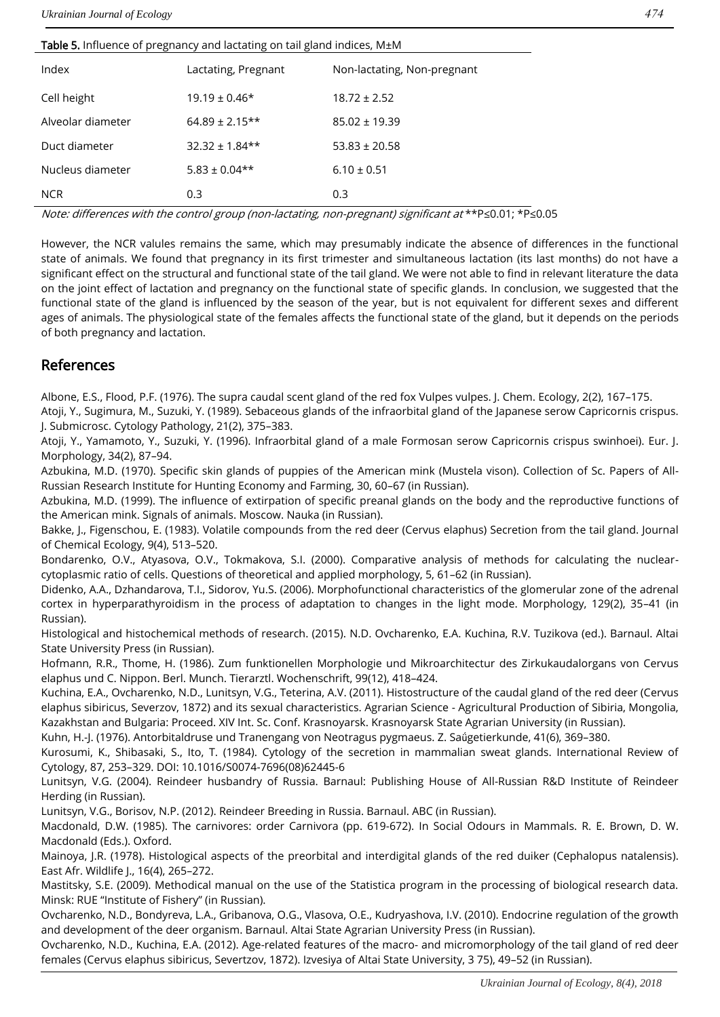#### Table 5. Influence of pregnancy and lactating on tail gland indices, M±M

| Index             | Lactating, Pregnant | Non-lactating, Non-pregnant |
|-------------------|---------------------|-----------------------------|
| Cell height       | $19.19 \pm 0.46*$   | $18.72 \pm 2.52$            |
| Alveolar diameter | $64.89 \pm 2.15**$  | $85.02 \pm 19.39$           |
| Duct diameter     | $32.32 + 1.84**$    | $53.83 \pm 20.58$           |
| Nucleus diameter  | $5.83 \pm 0.04**$   | $6.10 \pm 0.51$             |
| <b>NCR</b>        | 0.3                 | 0.3                         |

Note: differences with the control group (non-lactating, non-pregnant) significant at \*\*P≤0.01; \*P≤0.05

However, the NCR valules remains the same, which may presumably indicate the absence of differences in the functional state of animals. We found that pregnancy in its first trimester and simultaneous lactation (its last months) do not have a significant effect on the structural and functional state of the tail gland. We were not able to find in relevant literature the data on the joint effect of lactation and pregnancy on the functional state of specific glands. In conclusion, we suggested that the functional state of the gland is influenced by the season of the year, but is not equivalent for different sexes and different ages of animals. The physiological state of the females affects the functional state of the gland, but it depends on the periods of both pregnancy and lactation.

### References

Albone, E.S., Flood, P.F. (1976). The supra caudal scent gland of the red fox Vulpes vulpes. J. Chem. Ecology, 2(2), 167–175.

Atoji, Y., Sugimura, M., Suzuki, Y. (1989). Sebaceous glands of the infraorbital gland of the Japanese serow Capricornis crispus. J. Submicrosc. Cytology Pathology, 21(2), 375–383.

Atoji, Y., Yamamoto, Y., Suzuki, Y. (1996). Infraorbital gland of a male Formosan serow Capricornis crispus swinhoei). Eur. J. Morphology, 34(2), 87–94.

Azbukina, M.D. (1970). Specific skin glands of puppies of the American mink (Mustela vison). Collection of Sc. Papers of All-Russian Research Institute for Hunting Economy and Farming, 30, 60–67 (in Russian).

Azbukina, M.D. (1999). The influence of extirpation of specific preanal glands on the body and the reproductive functions of the American mink. Signals of animals. Moscow. Nauka (in Russian).

Bakke, J., Figenschou, E. (1983). Volatile compounds from the red deer (Cervus elaphus) Secretion from the tail gland. Journal of Chemical Ecology, 9(4), 513–520.

Bondarenko, O.V., Atyasova, O.V., Tokmakova, S.I. (2000). Comparative analysis of methods for calculating the nuclearcytoplasmic ratio of cells. Questions of theoretical and applied morphology, 5, 61–62 (in Russian).

Didenko, A.A., Dzhandarova, T.I., Sidorov, Yu.S. (2006). Morphofunctional characteristics of the glomerular zone of the adrenal cortex in hyperparathyroidism in the process of adaptation to changes in the light mode. Morphology, 129(2), 35–41 (in Russian).

Histological and histochemical methods of research. (2015). N.D. Ovcharenko, E.A. Kuchina, R.V. Tuzikova (ed.). Barnaul. Altai State University Press (in Russian).

Hofmann, R.R., Thome, H. (1986). Zum funktionellen Morphologie und Mikroarchitectur des Zirkukaudalorgans von Cervus elaphus und C. Nippon. Berl. Munch. Tierarztl. Wochenschrift, 99(12), 418–424.

Kuchina, E.A., Ovcharenko, N.D., Lunitsyn, V.G., Teterina, A.V. (2011). Histostructure of the caudal gland of the red deer (Cervus elaphus sibiricus, Severzov, 1872) and its sexual characteristics. Agrarian Science - Agricultural Production of Sibiria, Mongolia, Kazakhstan and Bulgaria: Proceed. XIV Int. Sc. Conf. Krasnoyarsk. Krasnoyarsk State Agrarian University (in Russian).

Kuhn, H.-J. (1976). Antorbitaldruse und Tranengang von Neotragus pygmaeus. Z. Saǘgetierkunde, 41(6), 369–380.

Kurosumi, K., Shibasaki, S., Ito, T. (1984). Cytology of the secretion in mammalian sweat glands. International Review of Cytology, 87, 253–329. DOI: 10.1016/S0074-7696(08)62445-6

Lunitsyn, V.G. (2004). Reindeer husbandry of Russia. Barnaul: Publishing House of All-Russian R&D Institute of Reindeer Herding (in Russian).

Lunitsyn, V.G., Borisov, N.P. (2012). Reindeer Breeding in Russia. Barnaul. ABC (in Russian).

Macdonald, D.W. (1985). The carnivores: order Carnivora (pp. 619-672). In Social Odours in Mammals. R. E. Brown, D. W. Macdonald (Eds.). Oxford.

Mainoya, J.R. (1978). Histological aspects of the preorbital and interdigital glands of the red duiker (Cephalopus natalensis). East Afr. Wildlife J., 16(4), 265–272.

Mastitsky, S.E. (2009). Methodical manual on the use of the Statistica program in the processing of biological research data. Minsk: RUE "Institute of Fishery" (in Russian).

Ovcharenko, N.D., Bondyreva, L.A., Gribanova, O.G., Vlasova, O.E., Kudryashova, I.V. (2010). Endocrine regulation of the growth and development of the deer organism. Barnaul. Altai State Agrarian University Press (in Russian).

Ovcharenko, N.D., Kuchina, E.A. (2012). Age-related features of the macro- and micromorphology of the tail gland of red deer females (Cervus elaphus sibiricus, Severtzov, 1872). Izvesiya of Altai State University, 3 75), 49–52 (in Russian).